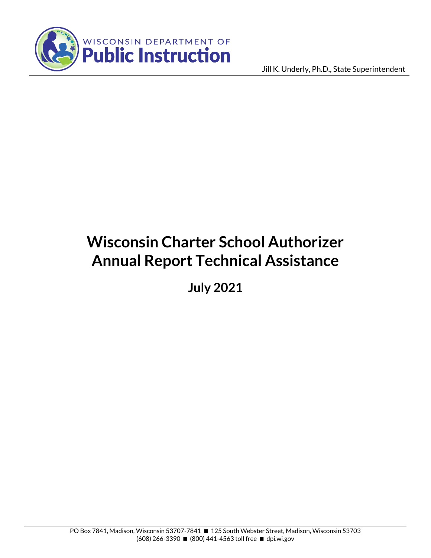

Jill K. Underly, Ph.D., State Superintendent

# **Wisconsin Charter School Authorizer Annual Report Technical Assistance**

**July 2021**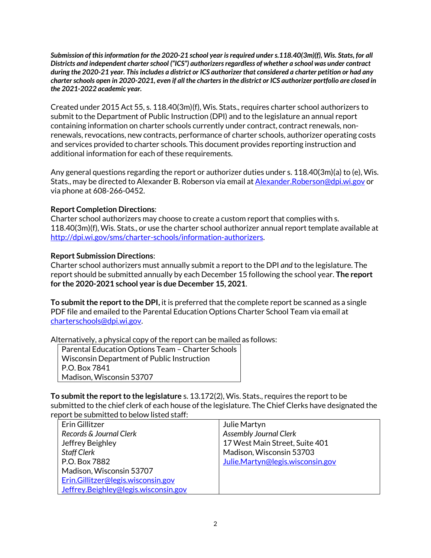*Submission of this information for the 2020-21 school year is required under s.118.40(3m)(f), Wis. Stats, for all Districts and independent charter school ("ICS") authorizers regardless of whether a school was under contract during the 2020-21 year. This includes a district or ICS authorizer that considered a charter petition or had any charter schools open in 2020-2021, even if all the charters in the district or ICS authorizer portfolio are closed in the 2021-2022 academic year.*

Created under 2015 Act 55, s. 118.40(3m)(f), Wis. Stats., requires charter school authorizers to submit to the Department of Public Instruction (DPI) and to the legislature an annual report containing information on charter schools currently under contract, contract renewals, nonrenewals, revocations, new contracts, performance of charter schools, authorizer operating costs and services provided to charter schools. This document provides reporting instruction and additional information for each of these requirements.

Any general questions regarding the report or authorizer duties under s. 118.40(3m)(a) to (e), Wis. Stats., may be directed to Alexander B. Roberson via email a[t Alexander.Roberson@dpi.wi.gov](mailto:Alexander.Roberson@dpi.wi.gov) or via phone at 608-266-0452.

## **Report Completion Directions**:

Charter school authorizers may choose to create a custom report that complies with s. 118.40(3m)(f), Wis. Stats., or use the charter school authorizer annual report template available at [http://dpi.wi.gov/sms/charter-schools/information-authorizers.](http://dpi.wi.gov/sms/charter-schools/information-authorizers)

# **Report Submission Directions**:

Charter school authorizers must annually submit a report to the DPI *and* to the legislature. The report should be submitted annually by each December 15 following the school year. **The report for the 2020-2021 school year is due December 15, 2021**.

**To submit the report to the DPI,** it is preferred that the complete report be scanned as a single PDF file and emailed to the Parental Education Options Charter School Team via email at [charterschools@dpi.wi.gov.](mailto:charterschools@dpi.wi.gov)

Alternatively, a physical copy of the report can be mailed as follows:

Parental Education Options Team – Charter Schools Wisconsin Department of Public Instruction P.O. Box 7841 Madison, Wisconsin 53707

**To submit the report to the legislature** s. 13.172(2), Wis. Stats., requires the report to be submitted to the chief clerk of each house of the legislature. The Chief Clerks have designated the report be submitted to below listed staff:

| Erin Gillitzer                       | Julie Martyn                     |
|--------------------------------------|----------------------------------|
| Records & Journal Clerk              | <b>Assembly Journal Clerk</b>    |
| Jeffrey Beighley                     | 17 West Main Street, Suite 401   |
| <b>Staff Clerk</b>                   | Madison, Wisconsin 53703         |
| P.O. Box 7882                        | Julie.Martyn@legis.wisconsin.gov |
| Madison, Wisconsin 53707             |                                  |
| Erin.Gillitzer@legis.wisconsin.gov   |                                  |
| Jeffrey.Beighley@legis.wisconsin.gov |                                  |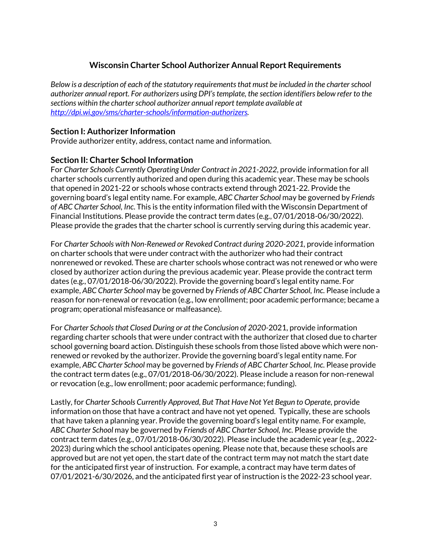# **Wisconsin Charter School Authorizer Annual Report Requirements**

*Below is a description of each of the statutory requirements that must be included in the charter school authorizer annual report. For authorizers using DPI's template, the section identifiers below refer to the sections within the charter school authorizer annual report template available at [http://dpi.wi.gov/sms/charter-schools/information-authorizers.](http://dpi.wi.gov/sms/charter-schools/information-authorizers)*

#### **Section I: Authorizer Information**

Provide authorizer entity, address, contact name and information.

#### **Section II: Charter School Information**

For *Charter Schools Currently Operating Under Contract in 2021-2022*, provide information for all charter schools currently authorized and open during this academic year. These may be schools that opened in 2021-22 or schools whose contracts extend through 2021-22. Provide the governing board's legal entity name. For example, *ABC Charter School* may be governed by *Friends of ABC Charter School, Inc*. This is the entity information filed with the Wisconsin Department of Financial Institutions. Please provide the contract term dates (e.g., 07/01/2018-06/30/2022). Please provide the grades that the charter school is currently serving during this academic year.

For *Charter Schools with Non-Renewed or Revoked Contract during 2020-2021,* provide information on charter schools that were under contract with the authorizer who had their contract nonrenewed or revoked. These are charter schools whose contract was not renewed or who were closed by authorizer action during the previous academic year. Please provide the contract term dates (e.g., 07/01/2018-06/30/2022). Provide the governing board's legal entity name. For example, *ABC Charter School* may be governed by *Friends of ABC Charter School, Inc*. Please include a reason for non-renewal or revocation (e.g., low enrollment; poor academic performance; became a program; operational misfeasance or malfeasance).

For *Charter Schools that Closed During or at the Conclusion of 2020-*2021, provide information regarding charter schools that were under contract with the authorizer that closed due to charter school governing board action. Distinguish these schools from those listed above which were nonrenewed or revoked by the authorizer. Provide the governing board's legal entity name. For example, *ABC Charter School* may be governed by *Friends of ABC Charter School, Inc*. Please provide the contract term dates (e.g., 07/01/2018-06/30/2022). Please include a reason for non-renewal or revocation (e.g., low enrollment; poor academic performance; funding).

Lastly, for *Charter Schools Currently Approved, But That Have Not Yet Begun to Operate*, provide information on those that have a contract and have not yet opened. Typically, these are schools that have taken a planning year. Provide the governing board's legal entity name. For example, *ABC Charter School* may be governed by *Friends of ABC Charter School, Inc*. Please provide the contract term dates (e.g., 07/01/2018-06/30/2022). Please include the academic year (e.g., 2022- 2023) during which the school anticipates opening. Please note that, because these schools are approved but are not yet open, the start date of the contract term may not match the start date for the anticipated first year of instruction. For example, a contract may have term dates of 07/01/2021-6/30/2026, and the anticipated first year of instruction is the 2022-23 school year.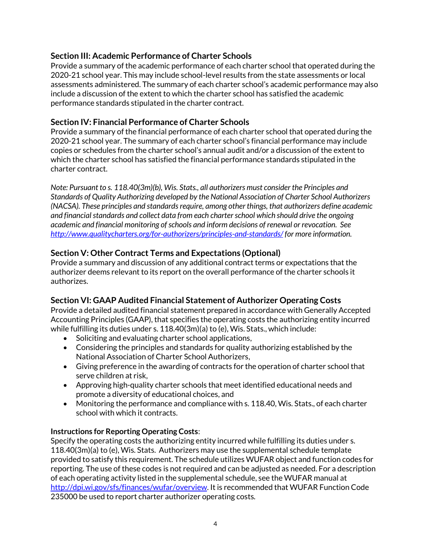# **Section III: Academic Performance of Charter Schools**

Provide a summary of the academic performance of each charter school that operated during the 2020-21 school year. This may include school-level results from the state assessments or local assessments administered. The summary of each charter school's academic performance may also include a discussion of the extent to which the charter school has satisfied the academic performance standards stipulated in the charter contract.

## **Section IV: Financial Performance of Charter Schools**

Provide a summary of the financial performance of each charter school that operated during the 2020-21 school year. The summary of each charter school's financial performance may include copies or schedules from the charter school's annual audit and/or a discussion of the extent to which the charter school has satisfied the financial performance standards stipulated in the charter contract.

*Note: Pursuant to s. 118.40(3m)(b), Wis. Stats., all authorizers must consider the Principles and Standards of Quality Authorizing developed by the National Association of Charter School Authorizers (NACSA). These principles and standards require, among other things, that authorizers define academic and financial standards and collect data from each charter school which should drive the ongoing academic and financial monitoring of schools and inform decisions of renewal or revocation. See <http://www.qualitycharters.org/for-authorizers/principles-and-standards/> for more information.* 

# **Section V: Other Contract Terms and Expectations (Optional)**

Provide a summary and discussion of any additional contract terms or expectations that the authorizer deems relevant to its report on the overall performance of the charter schools it authorizes.

## **Section VI: GAAP Audited Financial Statement of Authorizer Operating Costs**

Provide a detailed audited financial statement prepared in accordance with Generally Accepted Accounting Principles (GAAP), that specifies the operating costs the authorizing entity incurred while fulfilling its duties under s. 118.40(3m)(a) to (e), Wis. Stats., which include:

- Soliciting and evaluating charter school applications,
- Considering the principles and standards for quality authorizing established by the National Association of Charter School Authorizers,
- Giving preference in the awarding of contracts for the operation of charter school that serve children at risk,
- Approving high-quality charter schools that meet identified educational needs and promote a diversity of educational choices, and
- Monitoring the performance and compliance with s. 118.40, Wis. Stats., of each charter school with which it contracts.

## **Instructions for Reporting Operating Costs**:

Specify the operating costs the authorizing entity incurred while fulfilling its duties under s. 118.40(3m)(a) to (e), Wis. Stats. Authorizers may use the supplemental schedule template provided to satisfy this requirement. The schedule utilizes WUFAR object and function codes for reporting. The use of these codes is not required and can be adjusted as needed. For a description of each operating activity listed in the supplemental schedule, see the WUFAR manual at [http://dpi.wi.gov/sfs/finances/wufar/overview.](http://dpi.wi.gov/sfs/finances/wufar/overview) It is recommended that WUFAR Function Code 235000 be used to report charter authorizer operating costs*.*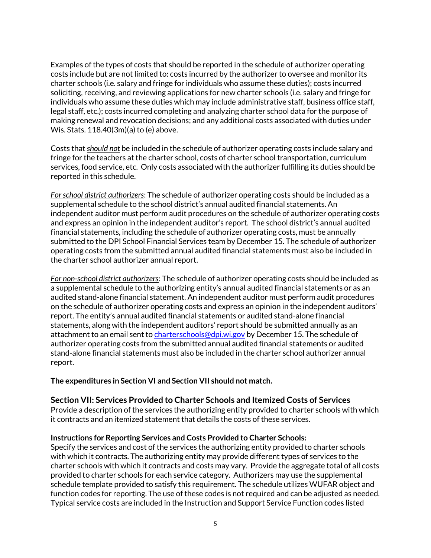Examples of the types of costs that should be reported in the schedule of authorizer operating costs include but are not limited to: costs incurred by the authorizer to oversee and monitor its charter schools (i.e. salary and fringe for individuals who assume these duties); costs incurred soliciting, receiving, and reviewing applications for new charter schools (i.e. salary and fringe for individuals who assume these duties which may include administrative staff, business office staff, legal staff, etc.); costs incurred completing and analyzing charter school data for the purpose of making renewal and revocation decisions; and any additional costs associated with duties under Wis. Stats. 118.40(3m)(a) to (e) above.

Costs that *should not* be included in the schedule of authorizer operating costs include salary and fringe for the teachers at the charter school, costs of charter school transportation, curriculum services, food service, etc. Only costs associated with the authorizer fulfilling its duties should be reported in this schedule.

*For school district authorizers*: The schedule of authorizer operating costs should be included as a supplemental schedule to the school district's annual audited financial statements. An independent auditor must perform audit procedures on the schedule of authorizer operating costs and express an opinion in the independent auditor's report. The school district's annual audited financial statements, including the schedule of authorizer operating costs, must be annually submitted to the DPI School Financial Services team by December 15. The schedule of authorizer operating costs from the submitted annual audited financial statements must also be included in the charter school authorizer annual report.

*For non-school district authorizers*: The schedule of authorizer operating costs should be included as a supplemental schedule to the authorizing entity's annual audited financial statements or as an audited stand-alone financial statement. An independent auditor must perform audit procedures on the schedule of authorizer operating costs and express an opinion in the independent auditors' report. The entity's annual audited financial statements or audited stand-alone financial statements, along with the independent auditors' report should be submitted annually as an attachment to an email sent to [charterschools@dpi.wi.gov](mailto:charterschools@dpi.wi.gov) by December 15. The schedule of authorizer operating costs from the submitted annual audited financial statements or audited stand-alone financial statements must also be included in the charter school authorizer annual report.

**The expenditures in Section VI and Section VII should not match.**

#### **Section VII: Services Provided to Charter Schools and Itemized Costs of Services**

Provide a description of the services the authorizing entity provided to charter schools with which it contracts and an itemized statement that details the costs of these services.

#### **Instructions for Reporting Services and Costs Provided to Charter Schools:**

Specify the services and cost of the services the authorizing entity provided to charter schools with which it contracts. The authorizing entity may provide different types of services to the charter schools with which it contracts and costs may vary. Provide the aggregate total of all costs provided to charter schools for each service category. Authorizers may use the supplemental schedule template provided to satisfy this requirement. The schedule utilizes WUFAR object and function codes for reporting. The use of these codes is not required and can be adjusted as needed. Typical service costs are included in the Instruction and Support Service Function codes listed